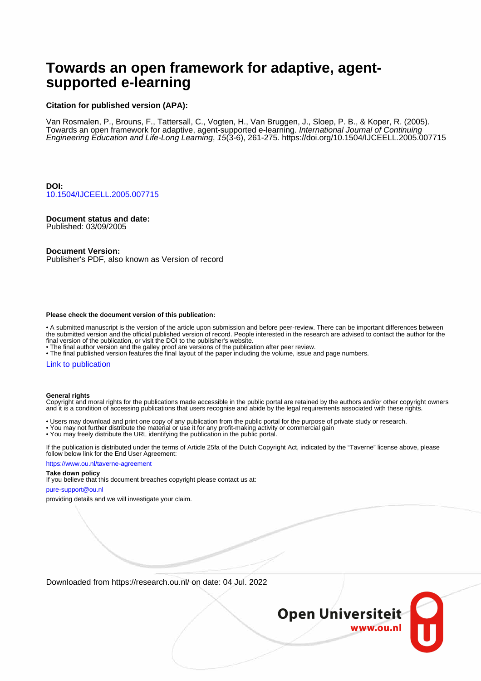## **Citation for published version (APA):**

Van Rosmalen, P., Brouns, F., Tattersall, C., Vogten, H., Van Bruggen, J., Sloep, P. B., & Koper, R. (2005). Towards an open framework for adaptive, agent-supported e-learning. International Journal of Continuing Engineering Education and Life-Long Learning, 15(3-6), 261-275. <https://doi.org/10.1504/IJCEELL.2005.007715>

**DOI:** [10.1504/IJCEELL.2005.007715](https://doi.org/10.1504/IJCEELL.2005.007715)

## **Document status and date:**

Published: 03/09/2005

#### **Document Version:**

Publisher's PDF, also known as Version of record

#### **Please check the document version of this publication:**

• A submitted manuscript is the version of the article upon submission and before peer-review. There can be important differences between the submitted version and the official published version of record. People interested in the research are advised to contact the author for the final version of the publication, or visit the DOI to the publisher's website.

• The final author version and the galley proof are versions of the publication after peer review.

• The final published version features the final layout of the paper including the volume, issue and page numbers.

#### [Link to publication](https://research.ou.nl/en/publications/bbc0f4ad-3f01-4397-b565-f6ef3aa8c820)

#### **General rights**

Copyright and moral rights for the publications made accessible in the public portal are retained by the authors and/or other copyright owners and it is a condition of accessing publications that users recognise and abide by the legal requirements associated with these rights.

- Users may download and print one copy of any publication from the public portal for the purpose of private study or research.
- You may not further distribute the material or use it for any profit-making activity or commercial gain
- You may freely distribute the URL identifying the publication in the public portal.

If the publication is distributed under the terms of Article 25fa of the Dutch Copyright Act, indicated by the "Taverne" license above, please follow below link for the End User Agreement:

#### https://www.ou.nl/taverne-agreement

## **Take down policy**

If you believe that this document breaches copyright please contact us at:

#### pure-support@ou.nl

providing details and we will investigate your claim.

Downloaded from https://research.ou.nl/ on date: 04 Jul. 2022

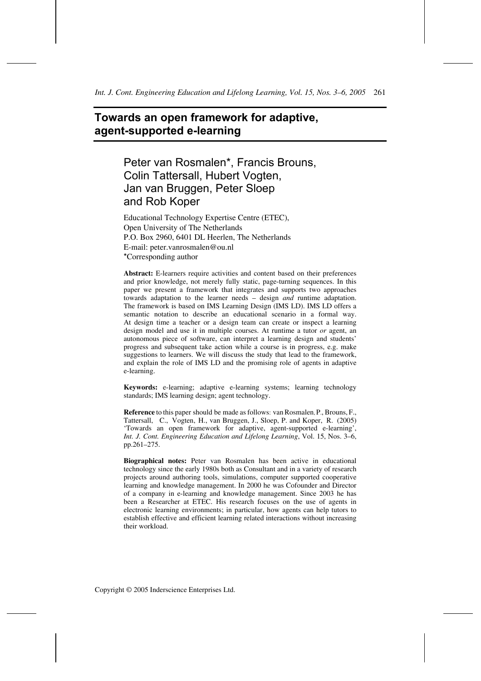## Peter van Rosmalen\*, Francis Brouns, Colin Tattersall, Hubert Vogten, Jan van Bruggen, Peter Sloep and Rob Koper

Educational Technology Expertise Centre (ETEC), Open University of The Netherlands P.O. Box 2960, 6401 DL Heerlen, The Netherlands E-mail: peter.vanrosmalen@ou.nl \*Corresponding author

**Abstract:** E-learners require activities and content based on their preferences and prior knowledge, not merely fully static, page-turning sequences. In this paper we present a framework that integrates and supports two approaches towards adaptation to the learner needs – design *and* runtime adaptation. The framework is based on IMS Learning Design (IMS LD). IMS LD offers a semantic notation to describe an educational scenario in a formal way. At design time a teacher or a design team can create or inspect a learning design model and use it in multiple courses. At runtime a tutor *or* agent, an autonomous piece of software, can interpret a learning design and students' progress and subsequent take action while a course is in progress, e.g. make suggestions to learners. We will discuss the study that lead to the framework, and explain the role of IMS LD and the promising role of agents in adaptive e-learning.

**Keywords:** e-learning; adaptive e-learning systems; learning technology standards; IMS learning design; agent technology.

**Reference** to this paper should be made as follows: van Rosmalen, P., Brouns, F., Tattersall, C., Vogten, H., van Bruggen, J., Sloep, P. and Koper, R. (2005) 'Towards an open framework for adaptive, agent-supported e-learning', *Int. J. Cont. Engineering Education and Lifelong Learning*, Vol. 15, Nos. 3–6, pp.261–275.

**Biographical notes:** Peter van Rosmalen has been active in educational technology since the early 1980s both as Consultant and in a variety of research projects around authoring tools, simulations, computer supported cooperative learning and knowledge management. In 2000 he was Cofounder and Director of a company in e-learning and knowledge management. Since 2003 he has been a Researcher at ETEC. His research focuses on the use of agents in electronic learning environments; in particular, how agents can help tutors to establish effective and efficient learning related interactions without increasing their workload.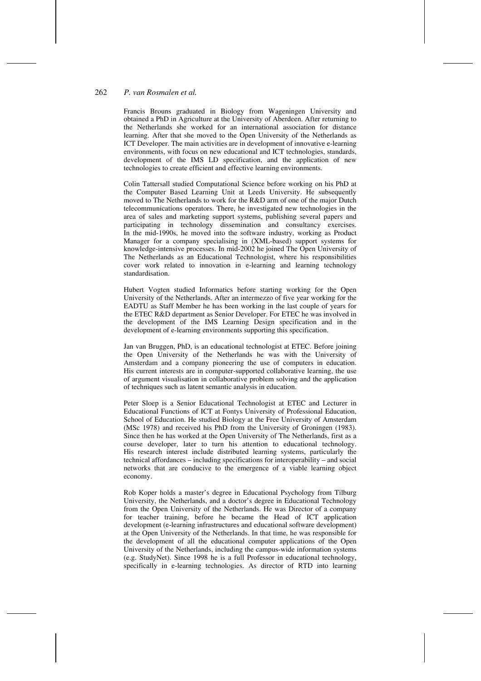Francis Brouns graduated in Biology from Wageningen University and obtained a PhD in Agriculture at the University of Aberdeen. After returning to the Netherlands she worked for an international association for distance learning. After that she moved to the Open University of the Netherlands as ICT Developer. The main activities are in development of innovative e-learning environments, with focus on new educational and ICT technologies, standards, development of the IMS LD specification, and the application of new technologies to create efficient and effective learning environments.

Colin Tattersall studied Computational Science before working on his PhD at the Computer Based Learning Unit at Leeds University. He subsequently moved to The Netherlands to work for the R&D arm of one of the major Dutch telecommunications operators. There, he investigated new technologies in the area of sales and marketing support systems, publishing several papers and participating in technology dissemination and consultancy exercises. In the mid-1990s, he moved into the software industry, working as Product Manager for a company specialising in (XML-based) support systems for knowledge-intensive processes. In mid-2002 he joined The Open University of The Netherlands as an Educational Technologist, where his responsibilities cover work related to innovation in e-learning and learning technology standardisation.

Hubert Vogten studied Informatics before starting working for the Open University of the Netherlands. After an intermezzo of five year working for the EADTU as Staff Member he has been working in the last couple of years for the ETEC R&D department as Senior Developer. For ETEC he was involved in the development of the IMS Learning Design specification and in the development of e-learning environments supporting this specification.

Jan van Bruggen, PhD, is an educational technologist at ETEC. Before joining the Open University of the Netherlands he was with the University of Amsterdam and a company pioneering the use of computers in education. His current interests are in computer-supported collaborative learning, the use of argument visualisation in collaborative problem solving and the application of techniques such as latent semantic analysis in education.

Peter Sloep is a Senior Educational Technologist at ETEC and Lecturer in Educational Functions of ICT at Fontys University of Professional Education, School of Education. He studied Biology at the Free University of Amsterdam (MSc 1978) and received his PhD from the University of Groningen (1983). Since then he has worked at the Open University of The Netherlands, first as a course developer, later to turn his attention to educational technology. His research interest include distributed learning systems, particularly the technical affordances – including specifications for interoperability – and social networks that are conducive to the emergence of a viable learning object economy.

Rob Koper holds a master's degree in Educational Psychology from Tilburg University, the Netherlands, and a doctor's degree in Educational Technology from the Open University of the Netherlands. He was Director of a company for teacher training, before he became the Head of ICT application development (e-learning infrastructures and educational software development) at the Open University of the Netherlands. In that time, he was responsible for the development of all the educational computer applications of the Open University of the Netherlands, including the campus-wide information systems (e.g. StudyNet). Since 1998 he is a full Professor in educational technology, specifically in e-learning technologies. As director of RTD into learning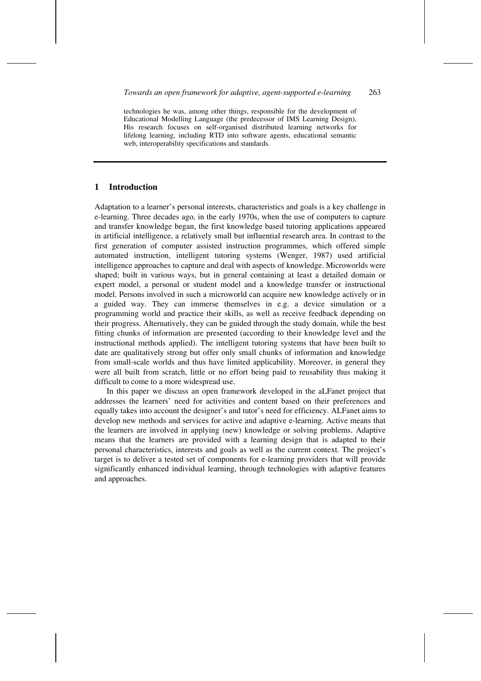technologies he was, among other things, responsible for the development of Educational Modelling Language (the predecessor of IMS Learning Design). His research focuses on self-organised distributed learning networks for lifelong learning, including RTD into software agents, educational semantic web, interoperability specifications and standards.

## **1 Introduction**

Adaptation to a learner's personal interests, characteristics and goals is a key challenge in e-learning. Three decades ago, in the early 1970s, when the use of computers to capture and transfer knowledge began, the first knowledge based tutoring applications appeared in artificial intelligence, a relatively small but influential research area. In contrast to the first generation of computer assisted instruction programmes, which offered simple automated instruction, intelligent tutoring systems (Wenger, 1987) used artificial intelligence approaches to capture and deal with aspects of knowledge. Microworlds were shaped; built in various ways, but in general containing at least a detailed domain or expert model, a personal or student model and a knowledge transfer or instructional model. Persons involved in such a microworld can acquire new knowledge actively or in a guided way. They can immerse themselves in e.g. a device simulation or a programming world and practice their skills, as well as receive feedback depending on their progress. Alternatively, they can be guided through the study domain, while the best fitting chunks of information are presented (according to their knowledge level and the instructional methods applied). The intelligent tutoring systems that have been built to date are qualitatively strong but offer only small chunks of information and knowledge from small-scale worlds and thus have limited applicability. Moreover, in general they were all built from scratch, little or no effort being paid to reusability thus making it difficult to come to a more widespread use.

In this paper we discuss an open framework developed in the aLFanet project that addresses the learners' need for activities and content based on their preferences and equally takes into account the designer's and tutor's need for efficiency. ALFanet aims to develop new methods and services for active and adaptive e-learning. Active means that the learners are involved in applying (new) knowledge or solving problems. Adaptive means that the learners are provided with a learning design that is adapted to their personal characteristics, interests and goals as well as the current context. The project's target is to deliver a tested set of components for e-learning providers that will provide significantly enhanced individual learning, through technologies with adaptive features and approaches.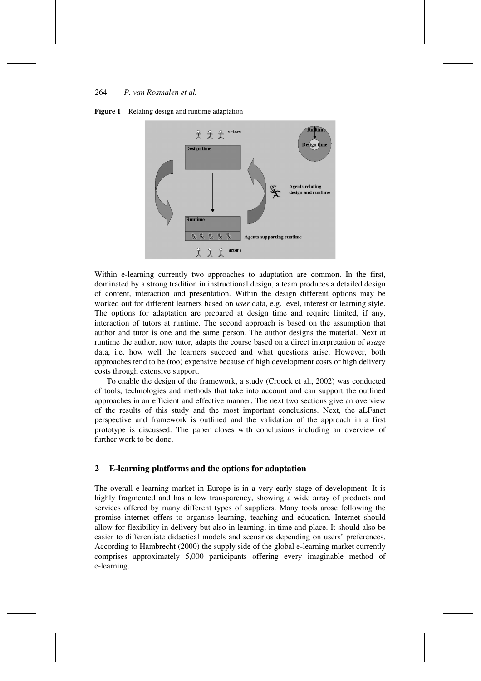

**Figure 1** Relating design and runtime adaptation

Within e-learning currently two approaches to adaptation are common. In the first, dominated by a strong tradition in instructional design, a team produces a detailed design of content, interaction and presentation. Within the design different options may be worked out for different learners based on *user* data, e.g. level, interest or learning style. The options for adaptation are prepared at design time and require limited, if any, interaction of tutors at runtime. The second approach is based on the assumption that author and tutor is one and the same person. The author designs the material. Next at runtime the author, now tutor, adapts the course based on a direct interpretation of *usage*  data, i.e. how well the learners succeed and what questions arise. However, both approaches tend to be (too) expensive because of high development costs or high delivery costs through extensive support.

To enable the design of the framework, a study (Croock et al., 2002) was conducted of tools, technologies and methods that take into account and can support the outlined approaches in an efficient and effective manner. The next two sections give an overview of the results of this study and the most important conclusions. Next, the aLFanet perspective and framework is outlined and the validation of the approach in a first prototype is discussed. The paper closes with conclusions including an overview of further work to be done.

## **2 E-learning platforms and the options for adaptation**

The overall e-learning market in Europe is in a very early stage of development. It is highly fragmented and has a low transparency, showing a wide array of products and services offered by many different types of suppliers. Many tools arose following the promise internet offers to organise learning, teaching and education. Internet should allow for flexibility in delivery but also in learning, in time and place. It should also be easier to differentiate didactical models and scenarios depending on users' preferences. According to Hambrecht (2000) the supply side of the global e-learning market currently comprises approximately 5,000 participants offering every imaginable method of e-learning.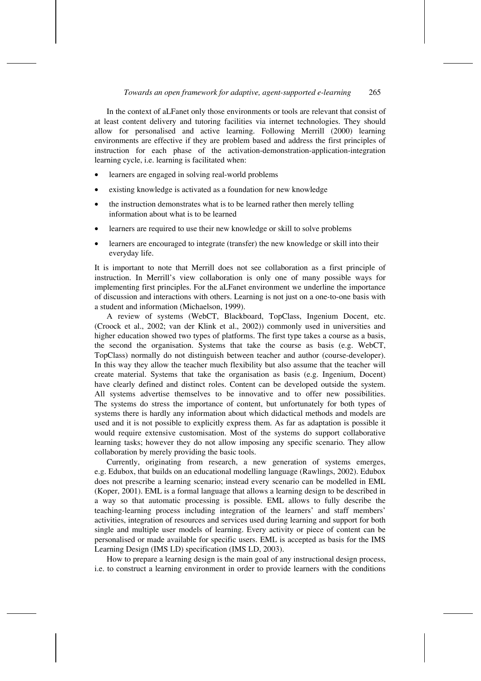In the context of aLFanet only those environments or tools are relevant that consist of at least content delivery and tutoring facilities via internet technologies. They should allow for personalised and active learning. Following Merrill (2000) learning environments are effective if they are problem based and address the first principles of instruction for each phase of the activation-demonstration-application-integration learning cycle, i.e. learning is facilitated when:

- learners are engaged in solving real-world problems
- existing knowledge is activated as a foundation for new knowledge
- the instruction demonstrates what is to be learned rather then merely telling information about what is to be learned
- learners are required to use their new knowledge or skill to solve problems
- learners are encouraged to integrate (transfer) the new knowledge or skill into their everyday life.

It is important to note that Merrill does not see collaboration as a first principle of instruction. In Merrill's view collaboration is only one of many possible ways for implementing first principles. For the aLFanet environment we underline the importance of discussion and interactions with others. Learning is not just on a one-to-one basis with a student and information (Michaelson, 1999).

A review of systems (WebCT, Blackboard, TopClass, Ingenium Docent, etc. (Croock et al., 2002; van der Klink et al., 2002)) commonly used in universities and higher education showed two types of platforms. The first type takes a course as a basis, the second the organisation. Systems that take the course as basis (e.g. WebCT, TopClass) normally do not distinguish between teacher and author (course-developer). In this way they allow the teacher much flexibility but also assume that the teacher will create material. Systems that take the organisation as basis (e.g. Ingenium, Docent) have clearly defined and distinct roles. Content can be developed outside the system. All systems advertise themselves to be innovative and to offer new possibilities. The systems do stress the importance of content, but unfortunately for both types of systems there is hardly any information about which didactical methods and models are used and it is not possible to explicitly express them. As far as adaptation is possible it would require extensive customisation. Most of the systems do support collaborative learning tasks; however they do not allow imposing any specific scenario. They allow collaboration by merely providing the basic tools.

Currently, originating from research, a new generation of systems emerges, e.g. Edubox, that builds on an educational modelling language (Rawlings, 2002). Edubox does not prescribe a learning scenario; instead every scenario can be modelled in EML (Koper, 2001). EML is a formal language that allows a learning design to be described in a way so that automatic processing is possible. EML allows to fully describe the teaching-learning process including integration of the learners' and staff members' activities, integration of resources and services used during learning and support for both single and multiple user models of learning. Every activity or piece of content can be personalised or made available for specific users. EML is accepted as basis for the IMS Learning Design (IMS LD) specification (IMS LD, 2003).

How to prepare a learning design is the main goal of any instructional design process, i.e. to construct a learning environment in order to provide learners with the conditions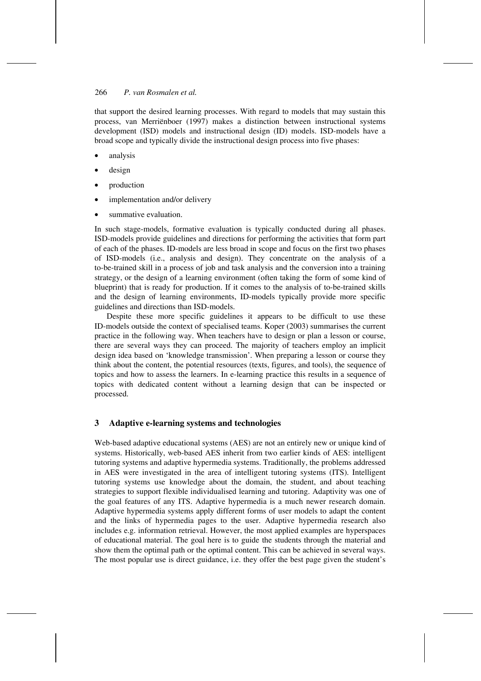that support the desired learning processes. With regard to models that may sustain this process, van Merriënboer (1997) makes a distinction between instructional systems development (ISD) models and instructional design (ID) models. ISD-models have a broad scope and typically divide the instructional design process into five phases:

- analysis
- design
- production
- implementation and/or delivery
- summative evaluation.

In such stage-models, formative evaluation is typically conducted during all phases. ISD-models provide guidelines and directions for performing the activities that form part of each of the phases. ID-models are less broad in scope and focus on the first two phases of ISD-models (i.e., analysis and design). They concentrate on the analysis of a to-be-trained skill in a process of job and task analysis and the conversion into a training strategy, or the design of a learning environment (often taking the form of some kind of blueprint) that is ready for production. If it comes to the analysis of to-be-trained skills and the design of learning environments, ID-models typically provide more specific guidelines and directions than ISD-models.

Despite these more specific guidelines it appears to be difficult to use these ID-models outside the context of specialised teams. Koper (2003) summarises the current practice in the following way. When teachers have to design or plan a lesson or course, there are several ways they can proceed. The majority of teachers employ an implicit design idea based on 'knowledge transmission'. When preparing a lesson or course they think about the content, the potential resources (texts, figures, and tools), the sequence of topics and how to assess the learners. In e-learning practice this results in a sequence of topics with dedicated content without a learning design that can be inspected or processed.

#### **3 Adaptive e-learning systems and technologies**

Web-based adaptive educational systems (AES) are not an entirely new or unique kind of systems. Historically, web-based AES inherit from two earlier kinds of AES: intelligent tutoring systems and adaptive hypermedia systems. Traditionally, the problems addressed in AES were investigated in the area of intelligent tutoring systems (ITS). Intelligent tutoring systems use knowledge about the domain, the student, and about teaching strategies to support flexible individualised learning and tutoring. Adaptivity was one of the goal features of any ITS. Adaptive hypermedia is a much newer research domain. Adaptive hypermedia systems apply different forms of user models to adapt the content and the links of hypermedia pages to the user. Adaptive hypermedia research also includes e.g. information retrieval. However, the most applied examples are hyperspaces of educational material. The goal here is to guide the students through the material and show them the optimal path or the optimal content. This can be achieved in several ways. The most popular use is direct guidance, i.e. they offer the best page given the student's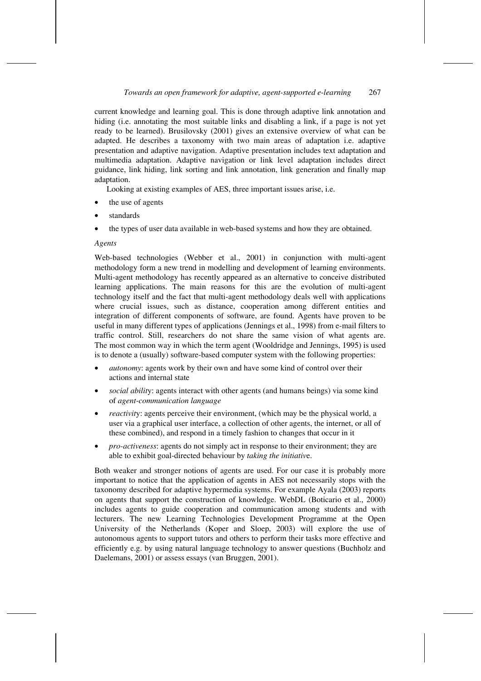current knowledge and learning goal. This is done through adaptive link annotation and hiding (i.e. annotating the most suitable links and disabling a link, if a page is not yet ready to be learned). Brusilovsky (2001) gives an extensive overview of what can be adapted. He describes a taxonomy with two main areas of adaptation i.e. adaptive presentation and adaptive navigation. Adaptive presentation includes text adaptation and multimedia adaptation. Adaptive navigation or link level adaptation includes direct guidance, link hiding, link sorting and link annotation, link generation and finally map adaptation.

Looking at existing examples of AES, three important issues arise, i.e.

- the use of agents
- standards
- the types of user data available in web-based systems and how they are obtained.

#### *Agents*

Web-based technologies (Webber et al., 2001) in conjunction with multi-agent methodology form a new trend in modelling and development of learning environments. Multi-agent methodology has recently appeared as an alternative to conceive distributed learning applications. The main reasons for this are the evolution of multi-agent technology itself and the fact that multi-agent methodology deals well with applications where crucial issues, such as distance, cooperation among different entities and integration of different components of software, are found. Agents have proven to be useful in many different types of applications (Jennings et al., 1998) from e-mail filters to traffic control. Still, researchers do not share the same vision of what agents are. The most common way in which the term agent (Wooldridge and Jennings, 1995) is used is to denote a (usually) software-based computer system with the following properties:

- *autonomy*: agents work by their own and have some kind of control over their actions and internal state
- *social abilit*y: agents interact with other agents (and humans beings) via some kind of *agent-communication language*
- *reactivit*y: agents perceive their environment, (which may be the physical world, a user via a graphical user interface, a collection of other agents, the internet, or all of these combined), and respond in a timely fashion to changes that occur in it
- *pro-activeness*: agents do not simply act in response to their environment; they are able to exhibit goal-directed behaviour by *taking the initiativ*e.

Both weaker and stronger notions of agents are used. For our case it is probably more important to notice that the application of agents in AES not necessarily stops with the taxonomy described for adaptive hypermedia systems. For example Ayala (2003) reports on agents that support the construction of knowledge. WebDL (Boticario et al., 2000) includes agents to guide cooperation and communication among students and with lecturers. The new Learning Technologies Development Programme at the Open University of the Netherlands (Koper and Sloep, 2003) will explore the use of autonomous agents to support tutors and others to perform their tasks more effective and efficiently e.g. by using natural language technology to answer questions (Buchholz and Daelemans, 2001) or assess essays (van Bruggen, 2001).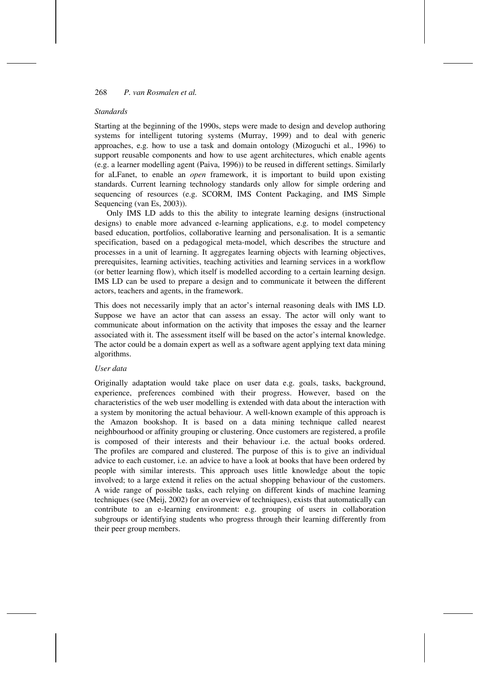#### *Standards*

Starting at the beginning of the 1990s, steps were made to design and develop authoring systems for intelligent tutoring systems (Murray, 1999) and to deal with generic approaches, e.g. how to use a task and domain ontology (Mizoguchi et al., 1996) to support reusable components and how to use agent architectures, which enable agents (e.g. a learner modelling agent (Paiva, 1996)) to be reused in different settings. Similarly for aLFanet, to enable an *open* framework, it is important to build upon existing standards. Current learning technology standards only allow for simple ordering and sequencing of resources (e.g. SCORM, IMS Content Packaging, and IMS Simple Sequencing (van Es, 2003)).

Only IMS LD adds to this the ability to integrate learning designs (instructional designs) to enable more advanced e-learning applications, e.g. to model competency based education, portfolios, collaborative learning and personalisation. It is a semantic specification, based on a pedagogical meta-model, which describes the structure and processes in a unit of learning. It aggregates learning objects with learning objectives, prerequisites, learning activities, teaching activities and learning services in a workflow (or better learning flow), which itself is modelled according to a certain learning design. IMS LD can be used to prepare a design and to communicate it between the different actors, teachers and agents, in the framework.

This does not necessarily imply that an actor's internal reasoning deals with IMS LD. Suppose we have an actor that can assess an essay. The actor will only want to communicate about information on the activity that imposes the essay and the learner associated with it. The assessment itself will be based on the actor's internal knowledge. The actor could be a domain expert as well as a software agent applying text data mining algorithms.

## *User data*

Originally adaptation would take place on user data e.g. goals, tasks, background, experience, preferences combined with their progress. However, based on the characteristics of the web user modelling is extended with data about the interaction with a system by monitoring the actual behaviour. A well-known example of this approach is the Amazon bookshop. It is based on a data mining technique called nearest neighbourhood or affinity grouping or clustering. Once customers are registered, a profile is composed of their interests and their behaviour i.e. the actual books ordered. The profiles are compared and clustered. The purpose of this is to give an individual advice to each customer, i.e. an advice to have a look at books that have been ordered by people with similar interests. This approach uses little knowledge about the topic involved; to a large extend it relies on the actual shopping behaviour of the customers. A wide range of possible tasks, each relying on different kinds of machine learning techniques (see (Meij, 2002) for an overview of techniques), exists that automatically can contribute to an e-learning environment: e.g. grouping of users in collaboration subgroups or identifying students who progress through their learning differently from their peer group members.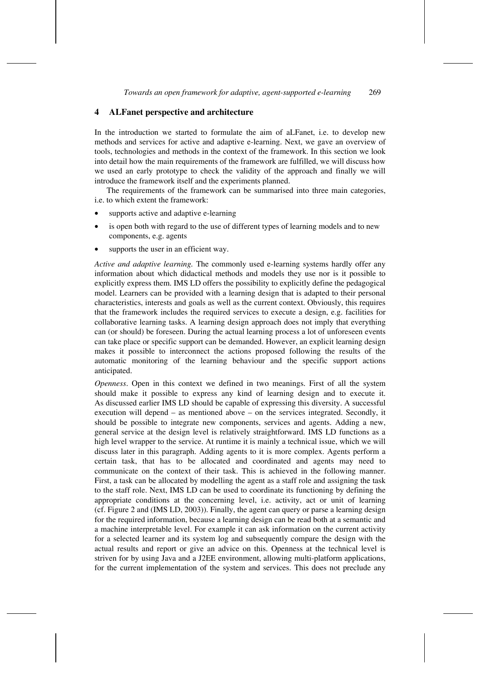## **4 ALFanet perspective and architecture**

In the introduction we started to formulate the aim of aLFanet, i.e. to develop new methods and services for active and adaptive e-learning. Next, we gave an overview of tools, technologies and methods in the context of the framework. In this section we look into detail how the main requirements of the framework are fulfilled, we will discuss how we used an early prototype to check the validity of the approach and finally we will introduce the framework itself and the experiments planned.

The requirements of the framework can be summarised into three main categories, i.e. to which extent the framework:

- supports active and adaptive e-learning
- is open both with regard to the use of different types of learning models and to new components, e.g. agents
- supports the user in an efficient way.

*Active and adaptive learning.* The commonly used e-learning systems hardly offer any information about which didactical methods and models they use nor is it possible to explicitly express them. IMS LD offers the possibility to explicitly define the pedagogical model. Learners can be provided with a learning design that is adapted to their personal characteristics, interests and goals as well as the current context. Obviously, this requires that the framework includes the required services to execute a design, e.g. facilities for collaborative learning tasks. A learning design approach does not imply that everything can (or should) be foreseen. During the actual learning process a lot of unforeseen events can take place or specific support can be demanded. However, an explicit learning design makes it possible to interconnect the actions proposed following the results of the automatic monitoring of the learning behaviour and the specific support actions anticipated.

*Openness*. Open in this context we defined in two meanings. First of all the system should make it possible to express any kind of learning design and to execute it. As discussed earlier IMS LD should be capable of expressing this diversity. A successful execution will depend – as mentioned above – on the services integrated. Secondly, it should be possible to integrate new components, services and agents. Adding a new, general service at the design level is relatively straightforward. IMS LD functions as a high level wrapper to the service. At runtime it is mainly a technical issue, which we will discuss later in this paragraph. Adding agents to it is more complex. Agents perform a certain task, that has to be allocated and coordinated and agents may need to communicate on the context of their task. This is achieved in the following manner. First, a task can be allocated by modelling the agent as a staff role and assigning the task to the staff role. Next, IMS LD can be used to coordinate its functioning by defining the appropriate conditions at the concerning level, i.e. activity, act or unit of learning (cf. Figure 2 and (IMS LD, 2003)). Finally, the agent can query or parse a learning design for the required information, because a learning design can be read both at a semantic and a machine interpretable level. For example it can ask information on the current activity for a selected learner and its system log and subsequently compare the design with the actual results and report or give an advice on this. Openness at the technical level is striven for by using Java and a J2EE environment, allowing multi-platform applications, for the current implementation of the system and services. This does not preclude any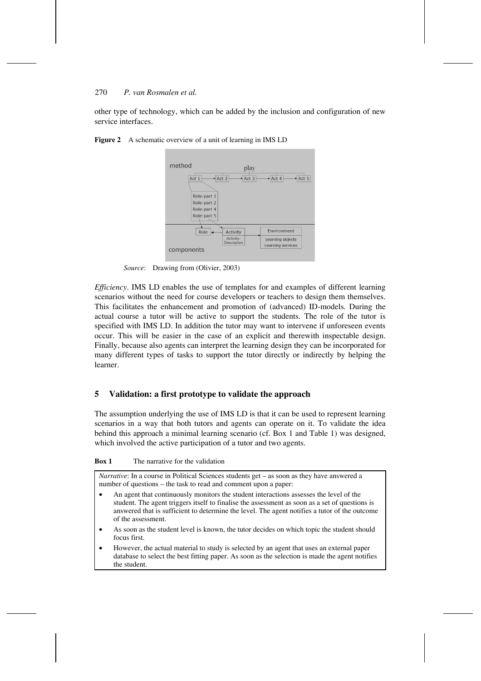other type of technology, which can be added by the inclusion and configuration of new service interfaces.

**Figure 2** A schematic overview of a unit of learning in IMS LD

| method<br>$\blacktriangleright$ Act 2<br>Act 1<br>Role-part 1<br>Role-part 2<br>Role-part 4<br>Role-part 5 | play<br>$\blacktriangleright$ Act 3  | $\blacktriangleright$ Act 5<br>$\blacktriangleright$ Act 4  |  |  |  |  |
|------------------------------------------------------------------------------------------------------------|--------------------------------------|-------------------------------------------------------------|--|--|--|--|
| Role<br>components                                                                                         | Activity<br>Activity-<br>Description | <b>Fnvironment</b><br>Learning objects<br>Learning services |  |  |  |  |
|                                                                                                            |                                      |                                                             |  |  |  |  |

*Source*: Drawing from (Olivier, 2003)

*Efficiency*. IMS LD enables the use of templates for and examples of different learning scenarios without the need for course developers or teachers to design them themselves. This facilitates the enhancement and promotion of (advanced) ID-models. During the actual course a tutor will be active to support the students. The role of the tutor is specified with IMS LD. In addition the tutor may want to intervene if unforeseen events occur. This will be easier in the case of an explicit and therewith inspectable design. Finally, because also agents can interpret the learning design they can be incorporated for many different types of tasks to support the tutor directly or indirectly by helping the learner.

### **5 Validation: a first prototype to validate the approach**

The assumption underlying the use of IMS LD is that it can be used to represent learning scenarios in a way that both tutors and agents can operate on it. To validate the idea behind this approach a minimal learning scenario (cf. Box 1 and Table 1) was designed, which involved the active participation of a tutor and two agents.

#### **Box 1** The narrative for the validation

*Narrative*: In a course in Political Sciences students get – as soon as they have answered a number of questions – the task to read and comment upon a paper:

- An agent that continuously monitors the student interactions assesses the level of the student. The agent triggers itself to finalise the assessment as soon as a set of questions is answered that is sufficient to determine the level. The agent notifies a tutor of the outcome of the assessment.
- As soon as the student level is known, the tutor decides on which topic the student should focus first.
- However, the actual material to study is selected by an agent that uses an external paper database to select the best fitting paper. As soon as the selection is made the agent notifies the student.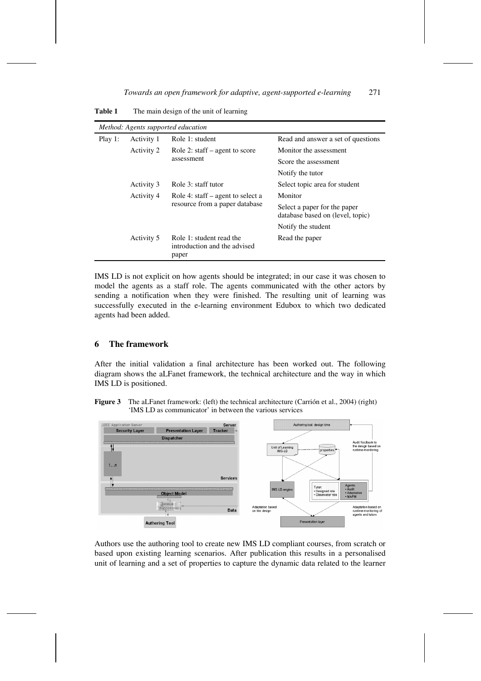| Method: Agents supported education |                                                                     |                                                                   |                                    |  |
|------------------------------------|---------------------------------------------------------------------|-------------------------------------------------------------------|------------------------------------|--|
| Play $1$ :                         | Activity 1                                                          | Role 1: student                                                   | Read and answer a set of questions |  |
| Activity 2                         |                                                                     | Role 2: staff $-$ agent to score                                  | Monitor the assessment             |  |
|                                    | assessment                                                          | Score the assessment                                              |                                    |  |
|                                    |                                                                     | Notify the tutor                                                  |                                    |  |
|                                    | Activity 3                                                          | Role 3: staff tutor                                               | Select topic area for student      |  |
| Activity 4                         | Role 4: staff – agent to select a<br>resource from a paper database | Monitor                                                           |                                    |  |
|                                    |                                                                     | Select a paper for the paper<br>database based on (level, topic)  |                                    |  |
|                                    |                                                                     | Notify the student                                                |                                    |  |
|                                    | Activity 5                                                          | Role 1: student read the<br>introduction and the advised<br>paper | Read the paper                     |  |

**Table 1** The main design of the unit of learning

IMS LD is not explicit on how agents should be integrated; in our case it was chosen to model the agents as a staff role. The agents communicated with the other actors by sending a notification when they were finished. The resulting unit of learning was successfully executed in the e-learning environment Edubox to which two dedicated agents had been added.

## **6 The framework**

After the initial validation a final architecture has been worked out. The following diagram shows the aLFanet framework, the technical architecture and the way in which IMS LD is positioned.





Authors use the authoring tool to create new IMS LD compliant courses, from scratch or based upon existing learning scenarios. After publication this results in a personalised unit of learning and a set of properties to capture the dynamic data related to the learner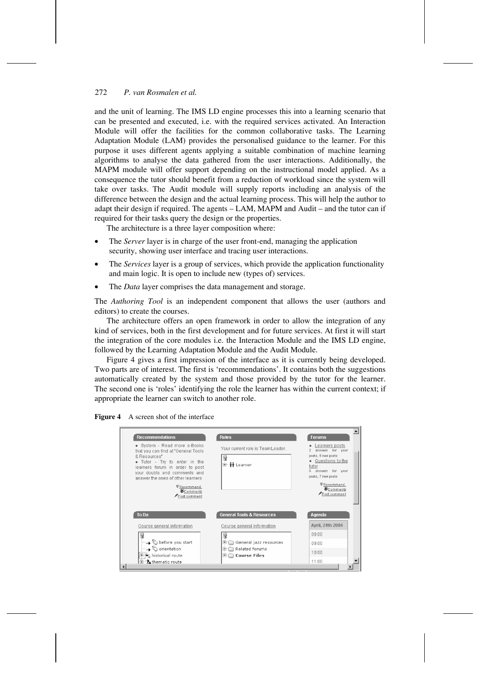and the unit of learning. The IMS LD engine processes this into a learning scenario that can be presented and executed, i.e. with the required services activated. An Interaction Module will offer the facilities for the common collaborative tasks. The Learning Adaptation Module (LAM) provides the personalised guidance to the learner. For this purpose it uses different agents applying a suitable combination of machine learning algorithms to analyse the data gathered from the user interactions. Additionally, the MAPM module will offer support depending on the instructional model applied. As a consequence the tutor should benefit from a reduction of workload since the system will take over tasks. The Audit module will supply reports including an analysis of the difference between the design and the actual learning process. This will help the author to adapt their design if required. The agents – LAM, MAPM and Audit – and the tutor can if required for their tasks query the design or the properties.

The architecture is a three layer composition where:

- The *Server* layer is in charge of the user front-end, managing the application security, showing user interface and tracing user interactions.
- The *Services* layer is a group of services, which provide the application functionality and main logic. It is open to include new (types of) services.
- The *Data* layer comprises the data management and storage.

The *Authoring Tool* is an independent component that allows the user (authors and editors) to create the courses.

The architecture offers an open framework in order to allow the integration of any kind of services, both in the first development and for future services. At first it will start the integration of the core modules i.e. the Interaction Module and the IMS LD engine, followed by the Learning Adaptation Module and the Audit Module.

Figure 4 gives a first impression of the interface as it is currently being developed. Two parts are of interest. The first is 'recommendations'. It contains both the suggestions automatically created by the system and those provided by the tutor for the learner. The second one is 'roles' identifying the role the learner has within the current context; if appropriate the learner can switch to another role.

**Figure 4** A screen shot of the interface

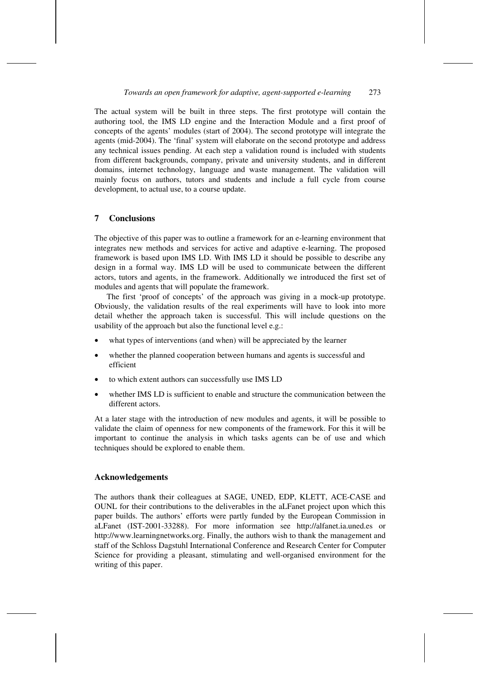The actual system will be built in three steps. The first prototype will contain the authoring tool, the IMS LD engine and the Interaction Module and a first proof of concepts of the agents' modules (start of 2004). The second prototype will integrate the agents (mid-2004). The 'final' system will elaborate on the second prototype and address any technical issues pending. At each step a validation round is included with students from different backgrounds, company, private and university students, and in different domains, internet technology, language and waste management. The validation will mainly focus on authors, tutors and students and include a full cycle from course development, to actual use, to a course update.

## **7 Conclusions**

The objective of this paper was to outline a framework for an e-learning environment that integrates new methods and services for active and adaptive e-learning. The proposed framework is based upon IMS LD. With IMS LD it should be possible to describe any design in a formal way. IMS LD will be used to communicate between the different actors, tutors and agents, in the framework. Additionally we introduced the first set of modules and agents that will populate the framework.

The first 'proof of concepts' of the approach was giving in a mock-up prototype. Obviously, the validation results of the real experiments will have to look into more detail whether the approach taken is successful. This will include questions on the usability of the approach but also the functional level e.g.:

- what types of interventions (and when) will be appreciated by the learner
- whether the planned cooperation between humans and agents is successful and efficient
- to which extent authors can successfully use IMS LD
- whether IMS LD is sufficient to enable and structure the communication between the different actors.

At a later stage with the introduction of new modules and agents, it will be possible to validate the claim of openness for new components of the framework. For this it will be important to continue the analysis in which tasks agents can be of use and which techniques should be explored to enable them.

## **Acknowledgements**

The authors thank their colleagues at SAGE, UNED, EDP, KLETT, ACE-CASE and OUNL for their contributions to the deliverables in the aLFanet project upon which this paper builds. The authors' efforts were partly funded by the European Commission in aLFanet (IST-2001-33288). For more information see http://alfanet.ia.uned.es or http://www.learningnetworks.org. Finally, the authors wish to thank the management and staff of the Schloss Dagstuhl International Conference and Research Center for Computer Science for providing a pleasant, stimulating and well-organised environment for the writing of this paper.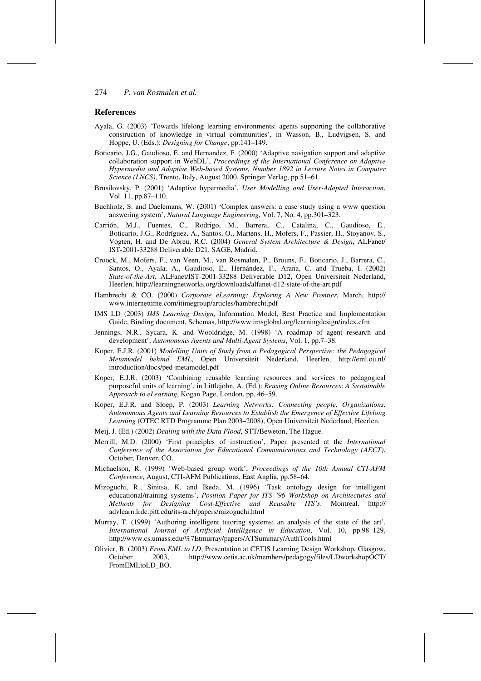#### **References**

- Ayala, G. (2003) 'Towards lifelong learning environments: agents supporting the collaborative construction of knowledge in virtual communities', in Wasson, B., Ludvigsen, S. and Hoppe, U. (Eds.): *Designing for Change*, pp.141–149.
- Boticario, J.G., Gaudioso, E. and Hernandez, F. (2000) 'Adaptive navigation support and adaptive collaboration support in WebDL', *Proceedings of the International Conference on Adaptive Hypermedia and Adaptive Web-based Systems, Number 1892 in Lecture Notes in Computer Science (LNCS)*, Trento, Italy, August 2000, Springer Verlag, pp.51–61.
- Brusilovsky, P. (2001) 'Adaptive hypermedia', *User Modelling and User-Adapted Interaction*, Vol. 11, pp.87–110.
- Buchholz, S. and Daelemans, W. (2001) 'Complex answers: a case study using a www question answering system', *Natural Language Engineering*, Vol. 7, No. 4, pp.301–323.
- Carrión, M.J., Fuentes, C., Rodrigo, M., Barrera, C., Catalina, C., Gaudioso, E., Boticario, J.G., Rodríguez, A., Santos, O., Martens, H., Mofers, F., Passier, H., Stoyanov, S., Vogten, H. and De Abreu, R.C. (2004) *General System Architecture & Design*, ALFanet/ IST-2001-33288 Deliverable D21, SAGE, Madrid.
- Croock, M., Mofers, F., van Veen, M., van Rosmalen, P., Brouns, F., Boticario, J., Barrera, C., Santos, O., Ayala, A., Gaudioso, E., Hernández, F., Arana, C. and Trueba, I. (2002) *State-of-the-Art*, ALFanet/IST-2001-33288 Deliverable D12, Open Universiteit Nederland, Heerlen, http://learningnetworks.org/downloads/alfanet-d12-state-of-the-art.pdf
- Hambrecht & CO. (2000) *Corporate eLearning: Exploring A New Frontier*, March, http:// www.internettime.com/itimegroup/articles/hambrecht.pdf
- IMS LD (2003) *IMS Learning Design*, Information Model, Best Practice and Implementation Guide, Binding document, Schemas, http://www.imsglobal.org/learningdesign/index.cfm
- Jennings, N.R., Sycara, K. and Wooldridge, M. (1998) 'A roadmap of agent research and development', *Autonomous Agents and Multi-Agent Systems*, Vol. 1, pp.7–38.
- Koper, E.J.R. (2001) *Modelling Units of Study from a Pedagogical Perspective: the Pedagogical Metamodel behind EML*, Open Universiteit Nederland, Heerlen, http://eml.ou.nl/ introduction/docs/ped-metamodel.pdf
- Koper, E.J.R. (2003) 'Combining reusable learning resources and services to pedagogical purposeful units of learning', in Littlejohn, A. (Ed.): *Reusing Online Resources*: *A Sustainable Approach to eLearning*, Kogan Page, London, pp. 46–59.
- Koper, E.J.R. and Sloep, P. (2003) *Learning Networks: Connecting people, Organizations, Autonomous Agents and Learning Resources to Establish the Emergence of Effective Lifelong Learning* (OTEC RTD Programme Plan 2003–2008), Open Universiteit Nederland, Heerlen.
- Meij, J. (Ed.) (2002) *Dealing with the Data Flood*, STT/Beweton, The Hague.
- Merrill, M.D. (2000) 'First principles of instruction', Paper presented at the *International Conference of the Association for Educational Communications and Technology (AECT)*, October, Denver, CO.
- Michaelson, R. (1999) 'Web-based group work', *Proceedings of the 10th Annual CTI-AFM Conference*, August, CTI-AFM Publications, East Anglia, pp.58–64.
- Mizoguchi, R., Sinitsa, K. and Ikeda, M. (1996) 'Task ontology design for intelligent educational/training systems', *Position Paper for ITS '96 Workshop on Architectures and Methods for Designing Cost-Effective and Reusable ITS's*. Montreal. http:// advlearn.lrdc.pitt.edu/its-arch/papers/mizoguchi.html
- Murray, T. (1999) 'Authoring intelligent tutoring systems: an analysis of the state of the art', *International Journal of Artificial Intelligence in Education*, Vol. 10, pp.98–129, http://www.cs.umass.edu/%7Etmurray/papers/ATSummary/AuthTools.html
- Olivier, B. (2003) *From EML to LD*, Presentation at CETIS Learning Design Workshop, Glasgow, October 2003, http://www.cetis.ac.uk/members/pedagogy/files/LDworkshopOCT/ FromEMLtoLD\_BO.